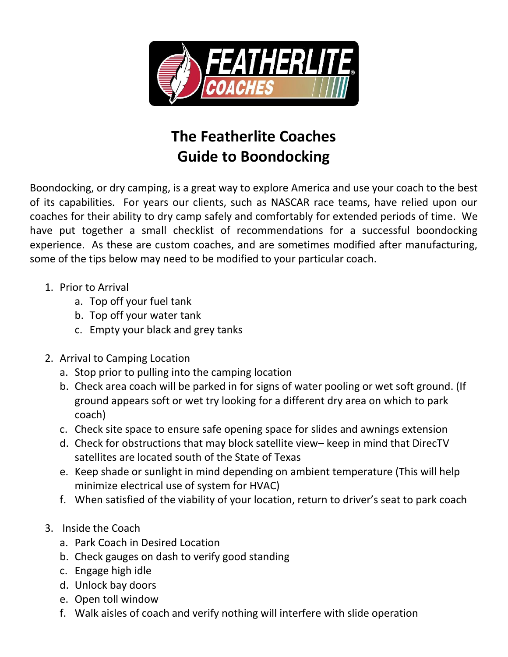

## **The Featherlite Coaches Guide to Boondocking**

Boondocking, or dry camping, is a great way to explore America and use your coach to the best of its capabilities. For years our clients, such as NASCAR race teams, have relied upon our coaches for their ability to dry camp safely and comfortably for extended periods of time. We have put together a small checklist of recommendations for a successful boondocking experience. As these are custom coaches, and are sometimes modified after manufacturing, some of the tips below may need to be modified to your particular coach.

- 1. Prior to Arrival
	- a. Top off your fuel tank
	- b. Top off your water tank
	- c. Empty your black and grey tanks
- 2. Arrival to Camping Location
	- a. Stop prior to pulling into the camping location
	- b. Check area coach will be parked in for signs of water pooling or wet soft ground. (If ground appears soft or wet try looking for a different dry area on which to park coach)
	- c. Check site space to ensure safe opening space for slides and awnings extension
	- d. Check for obstructions that may block satellite view– keep in mind that DirecTV satellites are located south of the State of Texas
	- e. Keep shade or sunlight in mind depending on ambient temperature (This will help minimize electrical use of system for HVAC)
	- f. When satisfied of the viability of your location, return to driver's seat to park coach
- 3. Inside the Coach
	- a. Park Coach in Desired Location
	- b. Check gauges on dash to verify good standing
	- c. Engage high idle
	- d. Unlock bay doors
	- e. Open toll window
	- f. Walk aisles of coach and verify nothing will interfere with slide operation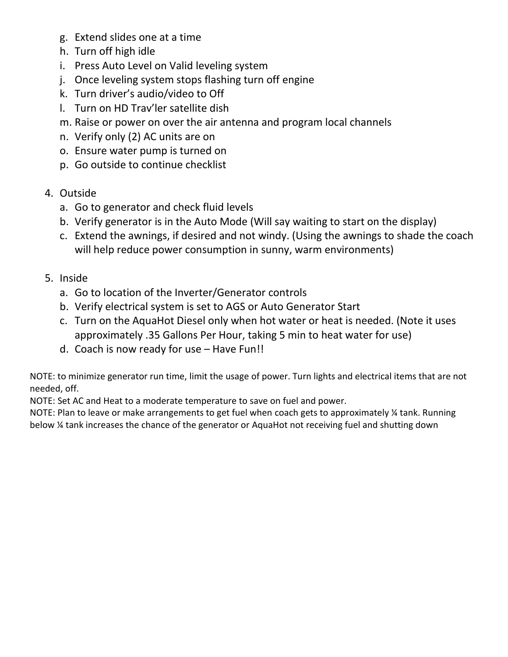- g. Extend slides one at a time
- h. Turn off high idle
- i. Press Auto Level on Valid leveling system
- j. Once leveling system stops flashing turn off engine
- k. Turn driver's audio/video to Off
- l. Turn on HD Trav'ler satellite dish
- m. Raise or power on over the air antenna and program local channels
- n. Verify only (2) AC units are on
- o. Ensure water pump is turned on
- p. Go outside to continue checklist
- 4. Outside
	- a. Go to generator and check fluid levels
	- b. Verify generator is in the Auto Mode (Will say waiting to start on the display)
	- c. Extend the awnings, if desired and not windy. (Using the awnings to shade the coach will help reduce power consumption in sunny, warm environments)
- 5. Inside
	- a. Go to location of the Inverter/Generator controls
	- b. Verify electrical system is set to AGS or Auto Generator Start
	- c. Turn on the AquaHot Diesel only when hot water or heat is needed. (Note it uses approximately .35 Gallons Per Hour, taking 5 min to heat water for use)
	- d. Coach is now ready for use Have Fun!!

NOTE: to minimize generator run time, limit the usage of power. Turn lights and electrical items that are not needed, off.

NOTE: Set AC and Heat to a moderate temperature to save on fuel and power.

NOTE: Plan to leave or make arrangements to get fuel when coach gets to approximately ¼ tank. Running below ¼ tank increases the chance of the generator or AquaHot not receiving fuel and shutting down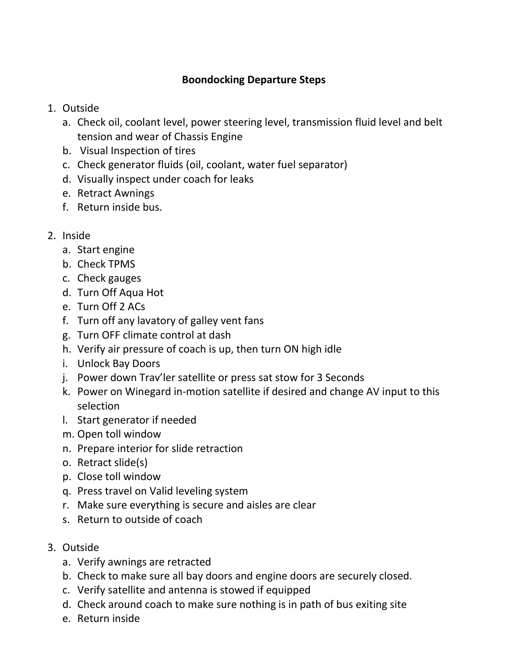## **Boondocking Departure Steps**

- 1. Outside
	- a. Check oil, coolant level, power steering level, transmission fluid level and belt tension and wear of Chassis Engine
	- b. Visual Inspection of tires
	- c. Check generator fluids (oil, coolant, water fuel separator)
	- d. Visually inspect under coach for leaks
	- e. Retract Awnings
	- f. Return inside bus.
- 2. Inside
	- a. Start engine
	- b. Check TPMS
	- c. Check gauges
	- d. Turn Off Aqua Hot
	- e. Turn Off 2 ACs
	- f. Turn off any lavatory of galley vent fans
	- g. Turn OFF climate control at dash
	- h. Verify air pressure of coach is up, then turn ON high idle
	- i. Unlock Bay Doors
	- j. Power down Trav'ler satellite or press sat stow for 3 Seconds
	- k. Power on Winegard in-motion satellite if desired and change AV input to this selection
	- l. Start generator if needed
	- m. Open toll window
	- n. Prepare interior for slide retraction
	- o. Retract slide(s)
	- p. Close toll window
	- q. Press travel on Valid leveling system
	- r. Make sure everything is secure and aisles are clear
	- s. Return to outside of coach
- 3. Outside
	- a. Verify awnings are retracted
	- b. Check to make sure all bay doors and engine doors are securely closed.
	- c. Verify satellite and antenna is stowed if equipped
	- d. Check around coach to make sure nothing is in path of bus exiting site
	- e. Return inside